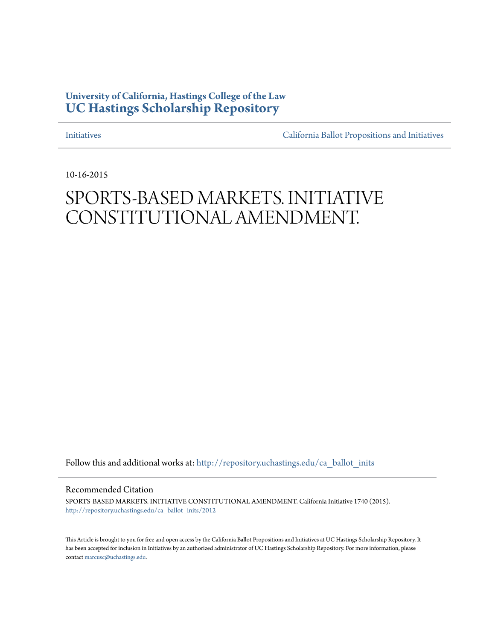## **University of California, Hastings College of the Law [UC Hastings Scholarship Repository](http://repository.uchastings.edu?utm_source=repository.uchastings.edu%2Fca_ballot_inits%2F2012&utm_medium=PDF&utm_campaign=PDFCoverPages)**

[Initiatives](http://repository.uchastings.edu/ca_ballot_inits?utm_source=repository.uchastings.edu%2Fca_ballot_inits%2F2012&utm_medium=PDF&utm_campaign=PDFCoverPages) [California Ballot Propositions and Initiatives](http://repository.uchastings.edu/ca_ballots?utm_source=repository.uchastings.edu%2Fca_ballot_inits%2F2012&utm_medium=PDF&utm_campaign=PDFCoverPages)

10-16-2015

# SPORTS-BASED MARKETS. INITIATIVE CONSTITUTIONAL AMENDMENT.

Follow this and additional works at: [http://repository.uchastings.edu/ca\\_ballot\\_inits](http://repository.uchastings.edu/ca_ballot_inits?utm_source=repository.uchastings.edu%2Fca_ballot_inits%2F2012&utm_medium=PDF&utm_campaign=PDFCoverPages)

Recommended Citation

SPORTS-BASED MARKETS. INITIATIVE CONSTITUTIONAL AMENDMENT. California Initiative 1740 (2015). [http://repository.uchastings.edu/ca\\_ballot\\_inits/2012](http://repository.uchastings.edu/ca_ballot_inits/2012?utm_source=repository.uchastings.edu%2Fca_ballot_inits%2F2012&utm_medium=PDF&utm_campaign=PDFCoverPages)

This Article is brought to you for free and open access by the California Ballot Propositions and Initiatives at UC Hastings Scholarship Repository. It has been accepted for inclusion in Initiatives by an authorized administrator of UC Hastings Scholarship Repository. For more information, please contact [marcusc@uchastings.edu](mailto:marcusc@uchastings.edu).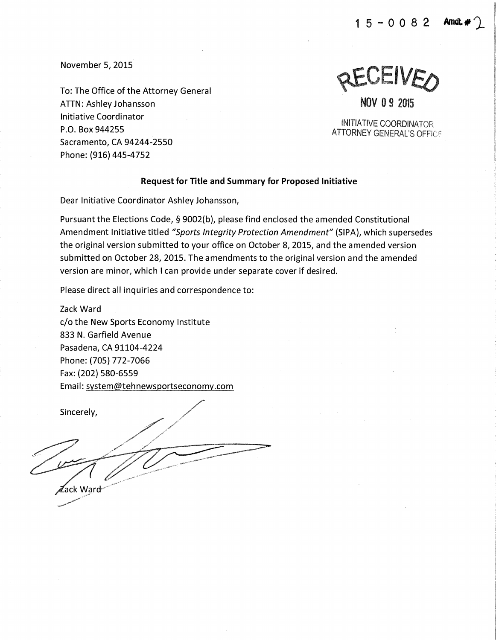$15 - 0082$ 

November 5, 2015

To: The Office of the Attorney General ATTN: Ashley Johansson Initiative Coordinator P.O. Box 944255 Sacramento, CA 94244-2550 Phone: {916) 445-4752

**ACAEIVED** 

NOV 0 9 2015

INITIATIVE COORDINATOR **ATTORNEY GENERAL'S OFFICE** 

#### Request for Title and Summary for Proposed Initiative

Dear Initiative Coordinator Ashley Johansson,

Pursuant the Elections Code, § 9002(b), please find enclosed the amended Constitutional Amendment Initiative titled "Sports Integrity Protection Amendment" (SIPA), which supersedes the original version submitted to your office on October 8, 2015, and the amended version submitted on October 28, 2015. The amendments to the original version and the amended version are minor, which I can provide under separate cover if desired.

Please direct all inquiries and correspondence to:

Zack Ward c/o the New Sports Economy Institute 833 N. Garfield Avenue Pasadena, CA 91104-4224 Phone: (705) 772-7066 Fax: {202) 580-6559 Email: system@tehnewsportseconomy.com

Sincerely, ≹ack Ward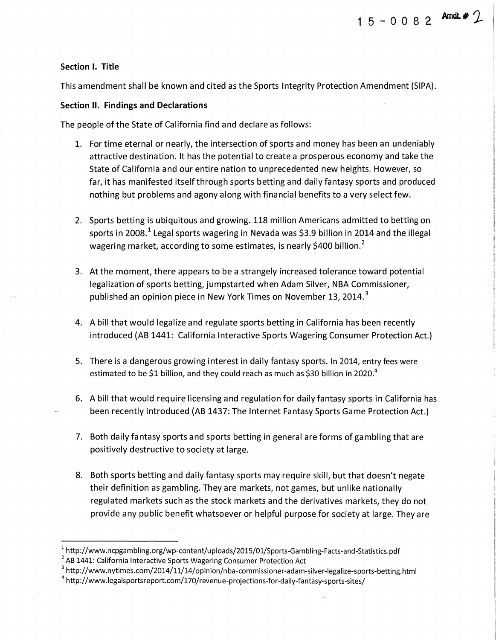This amendment shall be known and cited as the Sports Integrity Protection Amendment (SIPA).

**1** 5 - 0 0 8 **2 Arndt.# j\_** 

#### **Section II. Findings and Declarations**

The people of the State of California find and declare as follows:

- 1. For time eternal or nearly, the intersection of sports and money has been an undeniably attractive destination. It has the potential to create a prosperous economy and take the State of California and our entire nation to unprecedented new heights. However, so far, it has manifested itselfthrough sports betting and daily fantasy sports and produced nothing but problems and agony along with financial benefits to a very select few.
- 2. Sports betting is ubiquitous and growing. 118 million Americans admitted to betting on sports in 2008.<sup>1</sup> Legal sports wagering in Nevada was \$3.9 billion in 2014 and the illegal wagering market, according to some estimates, is nearly \$400 billion.<sup>2</sup>
- 3. At the moment, there appears to be a strangely increased tolerance toward potential legalization of sports betting, jumpstarted when Adam Silver, NBA Commissioner, published an opinion piece in New York Times on November 13, 2014. $3$
- 4. A bill that would legalize and regulate sports betting in California has been recently introduced (AB 1441: California Interactive Sports Wagering Consumer Protection Act.}
- 5. There is a dangerous growing interest in daily fantasy sports. In 2014, entry fees were estimated to be \$1 billion, and they could reach as much as \$30 billion in 2020.<sup>4</sup>
- 6. A bill that would require licensing and regulation for daily fantasy sports in California has been recently introduced (AB 1437: The Internet Fantasy Sports Game Protection Act.}
- 7. Both daily fantasy sports and sports betting in general are forms of gambling that are positively destructive to society at large.
- 8. Both sports betting and daily fantasy sports may require skill, but that doesn't negate their definition as gambling. They are markets, not games, but unlike nationally regulated markets such as the stock markets and the derivatives markets, they do not provide any public benefit whatsoever or helpful purpose for society at large. They are

- <sup>3</sup> http://www.nytimes.com/2014/11/14/opinion/nba-commissioner-adam-silver-legalize-sports-betting.html
- $4$  http://www.legalsportsreport.com/170/revenue-projections-for-daily-fantasy-sports-sites/

<sup>1</sup> http://www.ncpgambling.org/wp-content/uploads/2015/01/Sports-Gambling-Facts-and-Statistics.pdf

 $2^2$  AB 1441: California Interactive Sports Wagering Consumer Protection Act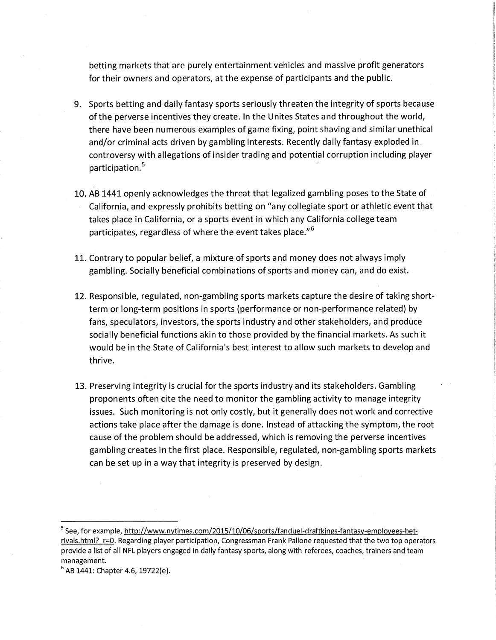betting markets that are purely entertainment vehicles and massive profit generators for their owners and operators, at the expense of participants and the public.

- 9. Sports betting and daily fantasy sports seriously threaten the integrity of sports because of the perverse incentives they create. In the Unites States and throughout the world, there have been numerous examples of game fixing, point shaving and similar unethical and/or criminal acts driven by gambling interests. Recently daily fantasy exploded in controversy with allegations of insider trading and potential corruption including player participation.<sup>5</sup>
- 10. AB 1441 openly acknowledges the threat that legalized gambling poses to the State of California, and expressly prohibits betting on "any collegiate sport or athletic event that takes place in California, or a sports event in which any California college team participates, regardless of where the event takes place."<sup>6</sup>
- 11. Contrary to popular belief, a mixture of sports and money does not always imply gambling. Socially beneficial combinations of sports and money can, and do exist.
- 12. Responsible, regulated, non-gambling sports markets capture the desire of taking shortterm or long-term positions in sports (performance or non-performance related) by fans, speculators, investors, the sports industry and other stakeholders, and produce socially beneficial functions akin to those provided by the financial markets. As such it would be in the State of California's best interest to allow such markets to develop and thrive.
- 13. Preserving integrity is crucial for the sports industry and its stakeholders. Gambling proponents often cite the need to monitor the gambling activity to manage integrity issues. Such monitoring is not only costly, but it generally does not work and corrective actions take place after the damage is done. Instead of attacking the symptom, the root cause of the problem should be addressed, which is removing the perverse incentives gambling creates in the first place. Responsible, regulated, non-gambling sports markets can be set up in a way that integrity is preserved by design.

<sup>&</sup>lt;sup>5</sup> See, for example, http://www.nytimes.com/2015/10/06/sports/fanduel-draftkings-fantasy-employees-betrivals.html? r=0. Regarding player participation, Congressman Frank Pallone requested that the two top operators provide a list of all NFL players engaged in daily fantasy sports, along with referees, coaches, trainers and team management.

 $6$  AB 1441: Chapter 4.6, 19722(e).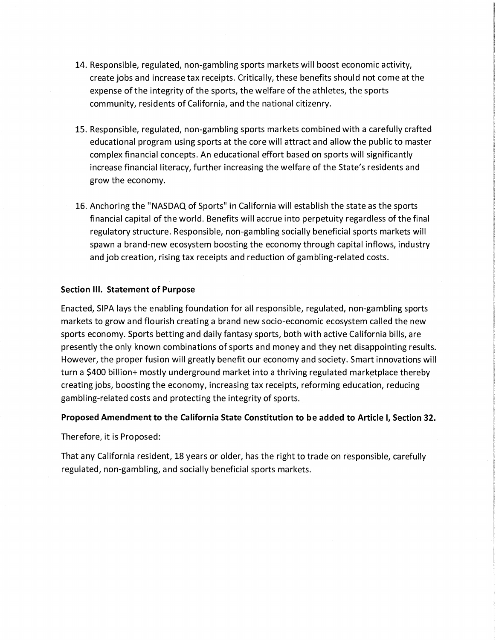- 14. Responsible, regulated, non-gambling sports markets will boost economic activity, create jobs and increase tax receipts. Critically, these benefits should not come at the expense of the integrity of the sports, the welfare of the athletes, the sports community, residents of California, and the national citizenry.
- 15. Responsible, regulated, non-gambling sports markets combined with a carefully crafted educational program using sports at the core will attract and allow the public to master complex financial concepts. An educational effort based on sports will significantly increase financial literacy, further increasing the welfare of the State's residents and grow the economy.
- 16. Anchoring the "NASDAQ of Sports" in California will establish the state as the sports financial capital of the world. Benefits will accrue into perpetuity regardless of the final regulatory structure. Responsible, non-gambling socially beneficial sports markets will spawn a brand-new ecosystem boosting the economy through capital inflows, industry and job creation, rising tax receipts and reduction of gambling-related costs.

#### **Section Ill. Statement of Purpose**

Enacted, SIPA lays the enabling foundation for all responsible, regulated, non-gambling sports markets to grow and flourish creating a brand new socio-economic ecosystem called the new sports economy. Sports betting and daily fantasy sports, both with active California bills, are presently the only known combinations of sports and money and they net disappointing results. However, the proper fusion will greatly benefit our economy and society. Smart innovations will turn a \$400 billion+ mostly underground market into a thriving regulated marketplace thereby creating jobs, boosting the economy, increasing tax receipts, reforming education, reducing gambling-related costs and protecting the integrity of sports.

#### **Proposed Amendment to the California State Constitution to be added to Article I, Section 32.**

Therefore, it is Proposed:

That any California resident, 18 years or older, has the right to trade on responsible, carefully regulated, non-gambling, and socially beneficial sports markets.